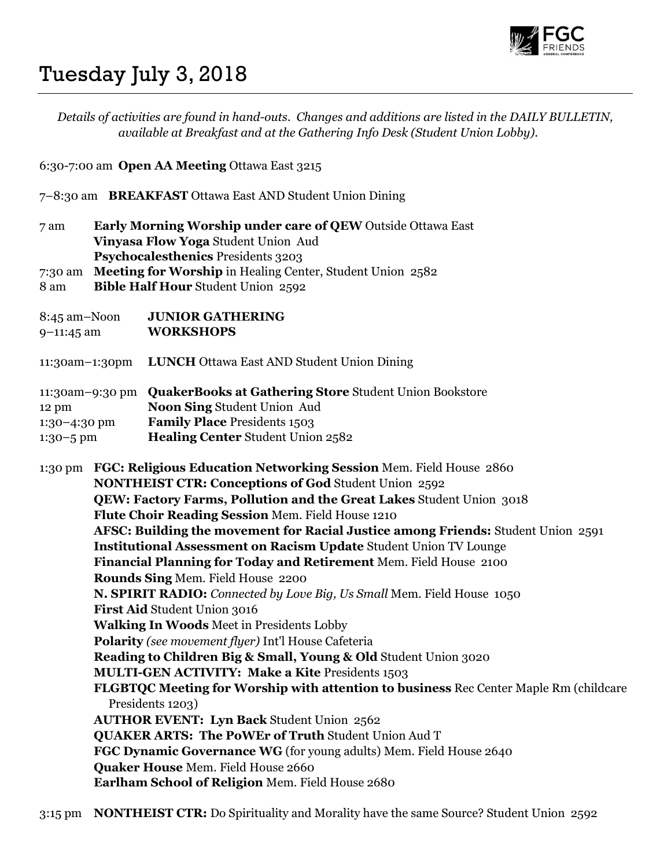

## Tuesday July 3, 2018

Details of activities are found in hand-outs. Changes and additions are listed in the DAILY BULLETIN, available at Breakfast and at the Gathering Info Desk (Student Union Lobby).

6:30-7:00 am Open AA Meeting Ottawa East 3215

- 7–8:30 am BREAKFAST Ottawa East AND Student Union Dining
- 7 am Early Morning Worship under care of QEW Outside Ottawa East Vinyasa Flow Yoga Student Union Aud Psychocalesthenics Presidents 3203
- 7:30 am Meeting for Worship in Healing Center, Student Union 2582
- 8 am Bible Half Hour Student Union 2592
- 8:45 am–Noon JUNIOR GATHERING
- 9–11:45 am WORKSHOPS
- 11:30am–1:30pm LUNCH Ottawa East AND Student Union Dining

|                       | 11:30am-9:30 pm QuakerBooks at Gathering Store Student Union Bookstore |
|-----------------------|------------------------------------------------------------------------|
| $12 \text{ pm}$       | <b>Noon Sing Student Union Aud</b>                                     |
| $1:30-4:30$ pm        | <b>Family Place Presidents 1503</b>                                    |
| $1:30 - 5 \text{ pm}$ | <b>Healing Center Student Union 2582</b>                               |

1:30 pm FGC: Religious Education Networking Session Mem. Field House 2860 NONTHEIST CTR: Conceptions of God Student Union 2592 QEW: Factory Farms, Pollution and the Great Lakes Student Union 3018 Flute Choir Reading Session Mem. Field House 1210 AFSC: Building the movement for Racial Justice among Friends: Student Union 2591 Institutional Assessment on Racism Update Student Union TV Lounge Financial Planning for Today and Retirement Mem. Field House 2100 Rounds Sing Mem. Field House 2200 N. SPIRIT RADIO: Connected by Love Big, Us Small Mem. Field House 1050 First Aid Student Union 3016 Walking In Woods Meet in Presidents Lobby Polarity (see movement flyer) Int'l House Cafeteria Reading to Children Big & Small, Young & Old Student Union 3020 MULTI-GEN ACTIVITY: Make a Kite Presidents 1503 FLGBTQC Meeting for Worship with attention to business Rec Center Maple Rm (childcare Presidents 1203) AUTHOR EVENT: Lyn Back Student Union 2562 QUAKER ARTS: The PoWEr of Truth Student Union Aud T FGC Dynamic Governance WG (for young adults) Mem. Field House 2640 Quaker House Mem. Field House 2660 Earlham School of Religion Mem. Field House 2680